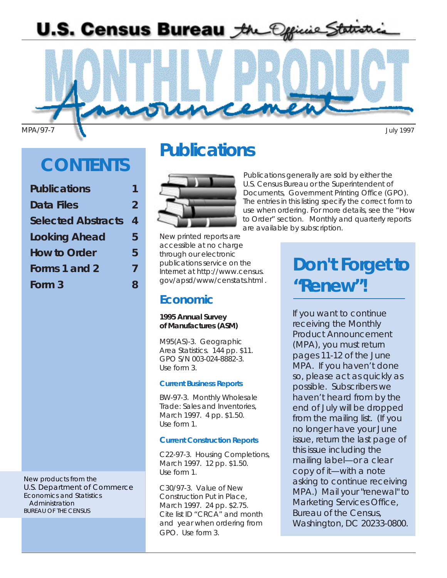

MPA/97-7 July 1997

# **CONTENTS**

| 2 |
|---|
| 4 |
| 5 |
| 5 |
| 7 |
| 8 |
|   |

New products from the U.S. Department of Commerce Economics and Statistics **Administration** BUREAU OF THE CENSUS

# **Publications**



New printed reports are accessible at no charge through our electronic publications service on the Internet at *http://www.census. gov/apsd/www/censtats.html .*

## **Economic**

#### *1995 Annual Survey of Manufactures (ASM)*

*M95(AS)-3. Geographic Area Statistics.* 144 pp. \$11. GPO S/N 003-024-8882-3. Use form 3.

### *Current Business Reports*

*BW-97-3. Monthly Wholesale Trade: Sales and Inventories, March 1997.* 4 pp. \$1.50. Use form 1.

### *Current Construction Reports*

*C22-97-3. Housing Completions, March 1997.* 12 pp. \$1.50. Use form 1.

*C30/97-3. Value of New Construction Put in Place, March 1997*. 24 pp. \$2.75. Cite list ID "CRCA" and month and year when ordering from GPO. Use form 3.

Publications generally are sold by either the U.S. Census Bureau or the Superintendent of Documents, Government Printing Office (GPO). The entries in this listing specify the correct form to use when ordering. For more details, see the "How to Order" section. Monthly and quarterly reports are available by subscription.

# **Don't Forget to "Renew"!**

If you want to continue receiving the *Monthly Product Announcement* (MPA), you must return pages 11-12 of the June MPA. If you haven't done so, please act as quickly as possible. Subscribers we haven't heard from by the end of July will be dropped from the mailing list. (If you no longer have your June issue, return the last page of this issue including the mailing label—or a clear copy of it—with a note asking to continue receiving MPA.) Mail your "renewal" to Marketing Services Office, Bureau of the Census, Washington, DC 20233-0800.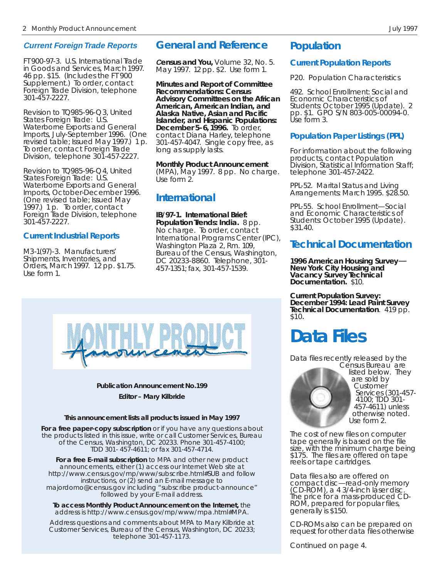### **Current Foreign Trade Reports**

*FT 900-97-3. U.S. International Trade in Goods and Services, March 1997. 46 pp. \$15.* (Includes the FT 900 Supplement.) To order, contact Foreign Trade Division, telephone 301-457-2227.

Revision to *TQ985-96-Q3, United States Foreign Trade: U.S. Waterborne Exports and General Imports, July-September 1996.* (One revised table; Issued May 1997.) 1 p. To order, contact Foreign Trade Division, telephone 301-457-2227.

Revision to *TQ985-96-Q4, United States Foreign Trade: U.S. Waterborne Exports and General Imports, October-December 1996. (*One revised table; Issued May 1997.) 1 p. To order, contact Foreign Trade Division, telephone 301-457-2227.

### *Current Industrial Reports*

*M3-1(97)-3. Manufacturers' Shipments, Inventories, and Orders, March 1997.* 12 pp. \$1.75. Use form 1.

## **General and Reference**

**C***ensus and You,* Volume 32, No. 5. May 1997. 12 pp. \$2. Use form 1.

*Minutes and Report of Committee Recommendations: Census Advisory Committees on the African American, American Indian, and Alaska Native, Asian and Pacific Islander, and Hispanic Populations: December 5-6, 1996.* To order, contact Diana Harley, telephone 301-457-4047. Single copy free, as long as supply lasts.

*Monthly Product Announcement (MPA), May 1997.* 8 pp. No charge. Use form 2.

## **International**

*IB/97-1. International Brief: Population Trends: India.* 8 pp. No charge. To order, contact International Programs Center (IPC), Washington Plaza 2, Rm. 109, Bureau of the Census, Washington, DC 20233-8860. Telephone, 301- 457-1351; fax, 301-457-1539.

## **Population**

### **Current Population Reports**

P20. Population Characteristics

*492. School Enrollment: Social and Economic Characteristics of Students: October 1995 (Update).* 2 pp. \$1. GPO S/N 803-005-00094-0. Use form 3.

### *Population Paper Listings (PPL)*

For information about the following products, contact Population Division, Statistical Information Staff; telephone 301-457-2422.

*PPL-52. Marital Status and Living Arrangements: March 1995.* \$28.50.

*PPL-55. School Enrollment—Social and Economic Characteristics of Students: October 1995 (Update).* \$31.40.

## **Technical Documentation**

**<sup>1</sup>***996 American Housing Survey*— *New York City Housing and Vacancy Survey Technical Documentation.* \$10.

*Current Population Survey: December 1994: Lead Paint Survey Technical Documentation.* 419 pp.<br>\$10.

# **Data Files**

Data files recently released by the Census Bureau are



listed below. They are sold by Customer Services (301-457- 4100; TDD 301- 457-4611) unless otherwise noted. Use form 2.

The cost of new files on computer tape generally is based on the file size, with the minimum charge being \$175. The files are offered on tape reels or tape cartridges.

Data files also are offered on compact disc—read-only memory (CD-ROM), a 4 3/4-inch laser disc. The price for a mass-produced CD-ROM, prepared for popular files, generally is \$150.

CD-ROMs also can be prepared on request for other data files otherwise

*Continued on page 4.*



### **Publication Announcement No.199 Editor – Mary Kilbride**

#### **This announcement lists all products issued in May 1997**

**For a free paper-copy subscription** or if you have any questions about the products listed in this issue, write or call Customer Services, Bureau of the Census, Washington, DC 20233. Phone 301-457-4100; TDD 301- 457-4611; or fax 301-457-4714.

**For a free E-mail subscription** to MPA and other new product announcements, either (1) access our Internet Web site at *http://www.census.gov/mp/www/subscribe.html#SUB* and follow instructions, or (2) send an E-mail message to *majordomo@census.gov* including "subscribe product-announce" followed by your E-mail address.

**To access Monthly Product Announcement on the Internet,** the address is *http://www.census.gov/mp/www/mpa.html#MPA*.

Address questions and comments about MPA to Mary Kilbride at Customer Services, Bureau of the Census, Washington, DC 20233; telephone 301-457-1173.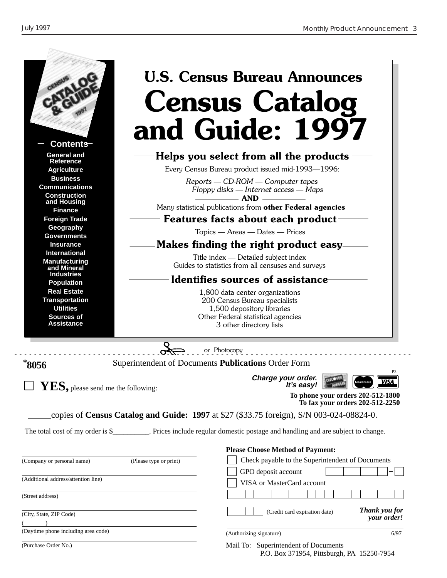(Purchase Order No.)

|                                                                 |                                                                  | <b>U.S. Census Bureau Announces</b><br><b>Census Catalog</b>                                                                |  |
|-----------------------------------------------------------------|------------------------------------------------------------------|-----------------------------------------------------------------------------------------------------------------------------|--|
| <b>Contents</b>                                                 |                                                                  | and Guide: 1997                                                                                                             |  |
| <b>General and</b><br><b>Reference</b><br><b>Agriculture</b>    |                                                                  | Helps you select from all the products<br>Every Census Bureau product issued mid-1993-1996:                                 |  |
| <b>Business</b><br><b>Communications</b><br><b>Construction</b> |                                                                  | Reports — CD-ROM — Computer tapes<br>Floppy disks - Internet access - Maps<br><b>AND</b>                                    |  |
| and Housing<br><b>Finance</b>                                   |                                                                  | Many statistical publications from other Federal agencies                                                                   |  |
| <b>Foreign Trade</b>                                            |                                                                  | Features facts about each product                                                                                           |  |
| Geography                                                       |                                                                  | Topics — Areas — Dates — Prices                                                                                             |  |
| <b>Governments</b><br><b>Insurance</b>                          |                                                                  | Makes finding the right product easy                                                                                        |  |
| <b>International</b>                                            |                                                                  | Title index — Detailed subject index                                                                                        |  |
| <b>Manufacturing</b><br>and Mineral                             |                                                                  | Guides to statistics from all censuses and surveys                                                                          |  |
| <b>Industries</b><br><b>Population</b>                          |                                                                  | Identifies sources of assistance                                                                                            |  |
| <b>Real Estate</b>                                              |                                                                  | 1,800 data center organizations                                                                                             |  |
| <b>Transportation</b><br><b>Utilities</b>                       | 200 Census Bureau specialists                                    |                                                                                                                             |  |
| <b>Sources of</b>                                               | 1,500 depository libraries<br>Other Federal statistical agencies |                                                                                                                             |  |
| <b>Assistance</b>                                               |                                                                  | 3 other directory lists                                                                                                     |  |
|                                                                 |                                                                  |                                                                                                                             |  |
|                                                                 |                                                                  | or Photocopy                                                                                                                |  |
| *8056                                                           |                                                                  | Superintendent of Documents Publications Order Form<br>P3                                                                   |  |
|                                                                 |                                                                  | Charge your order.<br>VISA                                                                                                  |  |
| $YES$ , please send me the following:                           |                                                                  | It's easy!<br>To phone your orders 202-512-1800<br>To fax your orders 202-512-2250                                          |  |
|                                                                 |                                                                  | copies of Census Catalog and Guide: 1997 at \$27 (\$33.75 foreign), S/N 003-024-08824-0.                                    |  |
|                                                                 |                                                                  | The total cost of my order is \$__________. Prices include regular domestic postage and handling and are subject to change. |  |
|                                                                 |                                                                  | <b>Please Choose Method of Payment:</b>                                                                                     |  |
| (Company or personal name)                                      | (Please type or print)                                           | Check payable to the Superintendent of Documents                                                                            |  |
| (Additional address/attention line)                             |                                                                  | GPO deposit account                                                                                                         |  |
|                                                                 |                                                                  | VISA or MasterCard account                                                                                                  |  |
| (Street address)                                                |                                                                  |                                                                                                                             |  |
| (City, State, ZIP Code)                                         |                                                                  | Thank you for<br>(Credit card expiration date)<br><i>vour order!</i>                                                        |  |
| (Daytime phone including area code)                             |                                                                  | (Authorizing signature)<br>6/97                                                                                             |  |

Mail To: Superintendent of Documents P.O. Box 371954, Pittsburgh, PA 15250-7954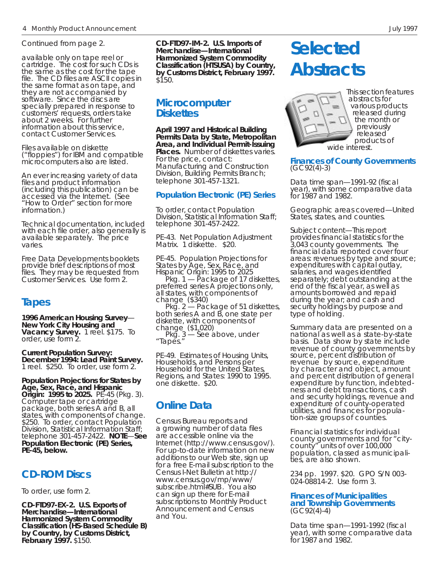*Continued from page 2.*

available only on tape reel or cartridge. The cost for such CDs is the same as the cost for the tape file. The CD files are ASCII copies in the same format as on tape, and they are not accompanied by software. Since the discs are specially prepared in response to customers' requests, orders take about 2 weeks. For further information about this service, contact Customer Services.

Files available on diskette ("floppies") for IBM and compatible microcomputers also are listed.

An ever increasing variety of data files and product information (including this publication) can be accessed via the Internet. (See "How to Order" section for more information.)

Technical documentation, included with each file order, also generally is available separately. The price varies.

Free *Data Developments* booklets provide brief descriptions of most files. They may be requested from Customer Services. Use form 2.

## **Tapes**

*1996 American Housing Survey*— *New York City Housing and Vacancy Survey.* 1 reel. \$175. To order, use form 2.

*Current Population Survey: December 1994: Lead Paint Survey.* 1 reel. \$250. To order, use form 2.

*Population Projections for States by Age, Sex, Race, and Hispanic Origin: 1995 to 2025.* PE-45 (Pkg. 3). Computer tape or cartridge package, both series A and B, all states, with components of change. \$250. To order, contact Population Division, Statistical Information Staff; telephone 301-457-2422. **NOTE**—**See Population Electronic (PE) Series, PE-45, below.**

### **CD-ROM Discs**

To order, use form 2.

*CD-FTD97-EX-2. U.S. Exports of Merchandise—International Harmonized System Commodity Classification (HS-Based Schedule B) by Country, by Customs District, February 1997.* \$150.

*CD-FTD97-IM-2. U.S. Imports of Merchandise—International Harmonized System Commodity Classification (HTSUSA) by Country, by Customs District, February 1997.* \$150.

### **Microcomputer Diskettes**

*April 1997 and Historical Building Permits Data by State, Metropolitan Area, and Individual Permit-Issuing* **Places.** Number of diskettes varies. For the price, contact: Manufacturing and Construction Division, Building Permits Branch; telephone 301-457-1321.

#### *Population Electronic (PE) Series*

To order, contact Population Division, Statistical Information Staff; telephone 301-457-2422.

*PE-43. Net Population Adjustment Matrix.* 1 diskette. \$20.

*PE-45. Population Projections for States by Age, Sex, Race, and Hispanic Origin: 1995 to 2025*

 Pkg. 1 — Package of 17 diskettes, preferred series A projections only, all states, with components of change (\$340)

 Pkg. 2 — Package of 51 diskettes, both series A and B, one state per diskette, with components of change (\$1,020)

 Pkg. 3 — See above, under *"Tapes."*

*PE-49. Estimates of Housing Units, Households, and Persons per Household for the United States, Regions, and States: 1990 to 1995.* one diskette. \$20.

## **Online Data**

Census Bureau reports and a growing number of data files are accessible online via the Internet *(http://www.census.gov/)*. For up-to-date information on new additions to our Web site, sign up for a free E-mail subscription to the Census I-Net Bulletin at *http:// www.census.gov/mp/www/ subscribe.html#SUB* . You also can sign up there for E-mail subscriptions to *Monthly Product Announcement* and *Census and You.*

# **Selected Abstracts**



This section features abstracts for various products released during the month or previously released products of

**Finances of County Governments** (GC92(4)-3)

*Data time span*—1991-92 (fiscal year), with some comparative data for 1987 and 1982.

*Geographic areas covered*—United States, states, and counties.

*Subject content*—This report provides financial statistics for the 3,043 county governments. The financial data reported cover four areas: revenues by type and source; expenditures with capital outlay, salaries, and wages identified separately; debt outstanding at the end of the fiscal year, as well as amounts borrowed and repaid during the year; and cash and security holdings by purpose and type of holding.

Summary data are presented on a national as well as a state-by-state basis. Data show by state include revenue of county governments by source, percent distribution of revenue by source, expenditure by character and object, amount and percent distribution of general expenditure by function, indebtedness and debt transactions, cash and security holdings, revenue and expenditure of county-operated utilities, and finances for population-size groups of counties.

Financial statistics for individual county governments and for "citycounty" units of over 100,000 population, classed as municipalities, are also shown.

234 pp. 1997. \$20. GPO S/N 003- 024-08814-2. Use form 3.

#### **Finances of Municipalities and Township Governments** (GC92(4)-4)

*Data time span*—1991-1992 (fiscal year), with some comparative data for 1987 and 1982.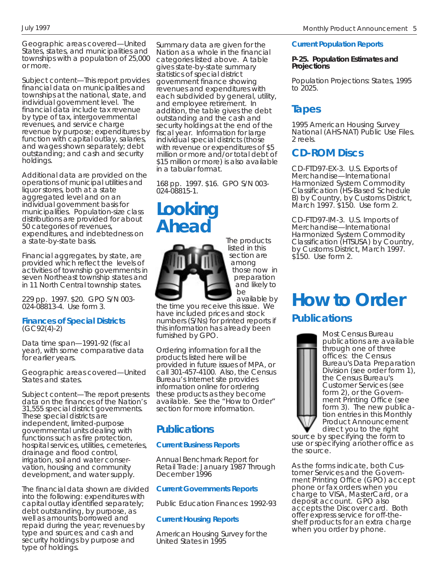*Geographic areas covered*—United States, states, and municipalities and townships with a population of 25,000 or more.

*Subject content*—This report provides financial data on municipalities and townships at the national, state, and individual government level. The financial data include tax revenue by type of tax, intergovernmental revenues, and service charge revenue by purpose; expenditures by function with capital outlay, salaries, and wages shown separately; debt outstanding; and cash and security holdings.

Additional data are provided on the operations of municipal utilities and liquor stores, both at a state aggregated level and on an individual government basis for municipalities. Population-size class distributions are provided for about 50 categories of revenues, expenditures, and indebtedness on a state-by-state basis.

Financial aggregates, by state, are provided which reflect the levels of activities of township governments in seven Northeast township states and in 11 North Central township states.

229 pp. 1997. \$20. GPO S/N 003- 024-08813-4. Use form 3.

#### **Finances of Special Districts** (GC92(4)-2)

*Data time span*—1991-92 (fiscal year), with some comparative data for earlier years.

*Geographic areas covered*—United States and states.

*Subject content*—The report presents data on the finances of the Nation's 31,555 special district governments. These special districts are independent, limited-purpose governmental units dealing with functions such as fire protection, hospital services, utilities, cemeteries, drainage and flood control, irrigation, soil and water conservation, housing and community development, and water supply.

The financial data shown are divided into the following: expenditures with capital outlay identified separately; debt outstanding, by purpose, as well as amounts borrowed and repaid during the year; revenues by type and sources; and cash and security holdings by purpose and type of holdings.

Summary data are given for the Nation as a whole in the financial categories listed above. A table gives state-by-state summary statistics of special district government finance showing revenues and expenditures with each subdivided by general, utility, and employee retirement. In addition, the table gives the debt outstanding and the cash and security holdings at the end of the fiscal year. Information for large individual special districts (those with revenue or expenditures of \$5 million or more and/or total debt of \$15 million or more) is also available in a tabular format.

168 pp. 1997. \$16. GPO S/N 003- 024-08815-1.

## **Looking Ahead**



furnished by GPO.

The products listed in this section are among those now in preparation and likely to be

available by the time you receive this issue. We have included prices and stock numbers (S/Ns) for printed reports if this information has already been

Ordering information for all the products listed here will be provided in future issues of MPA, or call 301-457-4100. Also, the Census Bureau's Internet site provides information online for ordering these products as they become available. See the "How to Order" section for more information.

## **Publications**

#### *Current Business Reports*

*Annual Benchmark Report for Retail Trade: January 1987 Through December 1996*

#### *Current Governments Reports*

*Public Education Finances: 1992-93*

#### *Current Housing Reports*

*American Housing Survey for the United States in 1995*

#### *Current Population Reports*

#### **P-25. Population Estimates and Projections**

*Population Projections: States, 1995 to 2025.*

## **Tapes**

1995 American Housing Survey National (AHS-NAT) Public Use Files. 2 reels.

## **CD-ROM Discs**

CD-FTD97-EX-3. U.S. Exports of Merchandise—International Harmonized System Commodity Classification (HS-Based Schedule B) by Country, by Customs District, March 1997. \$150. Use form 2.

CD-FTD97-IM-3. U.S. Imports of Merchandise—International Harmonized System Commodity Classification (HTSUSA) by Country, by Customs District, March 1997. \$150. Use form 2.

## **How to Order**

## **Publications**



source by specifying the form to use or specifying another office as the source.

As the forms indicate, both Customer Services and the Government Printing Office (GPO) accept phone or fax orders when you charge to VISA, MasterCard, or a deposit account. GPO also accepts the Discover card. Both offer express service for off-theshelf products for an extra charge when you order by phone.